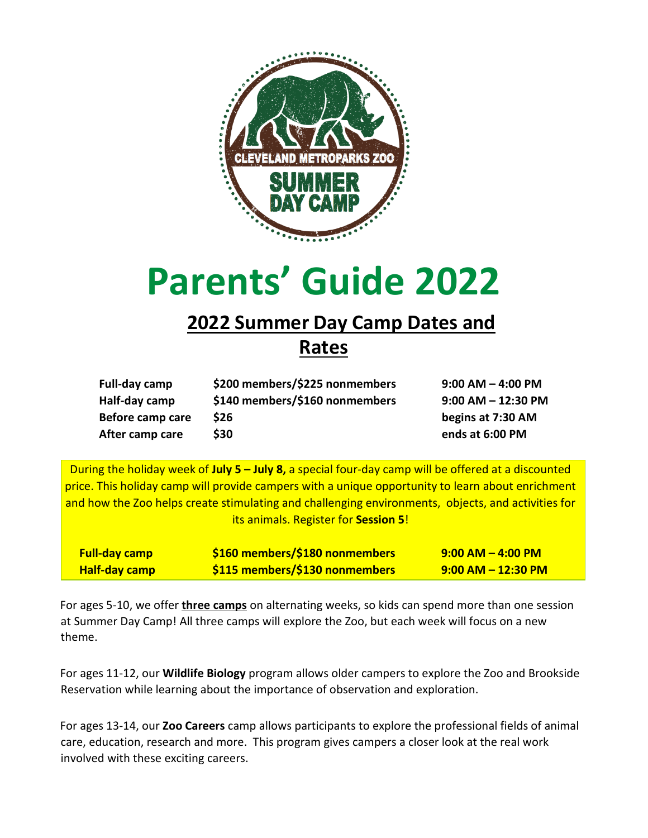

# **Parents' Guide 2022**

# **2022 Summer Day Camp Dates and**

### **Rates**

| Full-day camp    | \$200 members/\$225 nonmembers | $9:00$ AM $-$ 4:00 PM  |
|------------------|--------------------------------|------------------------|
| Half-day camp    | \$140 members/\$160 nonmembers | $9:00$ AM $-$ 12:30 PM |
| Before camp care | \$26                           | begins at 7:30 AM      |
| After camp care  | \$30                           | ends at 6:00 PM        |

During the holiday week of **July 5 – July 8,** a special four-day camp will be offered at a discounted price. This holiday camp will provide campers with a unique opportunity to learn about enrichment and how the Zoo helps create stimulating and challenging environments, objects, and activities for its animals. Register for **Session 5**!

| <b>Full-day camp</b> | \$160 members/\$180 nonmembers        | $9:00$ AM $-$ 4:00 PM  |
|----------------------|---------------------------------------|------------------------|
| <b>Half-day camp</b> | <b>\$115 members/\$130 nonmembers</b> | $9:00$ AM $-$ 12:30 PM |

For ages 5-10, we offer **three camps** on alternating weeks, so kids can spend more than one session at Summer Day Camp! All three camps will explore the Zoo, but each week will focus on a new theme.

For ages 11-12, our **Wildlife Biology** program allows older campers to explore the Zoo and Brookside Reservation while learning about the importance of observation and exploration.

For ages 13-14, our **Zoo Careers** camp allows participants to explore the professional fields of animal care, education, research and more. This program gives campers a closer look at the real work involved with these exciting careers.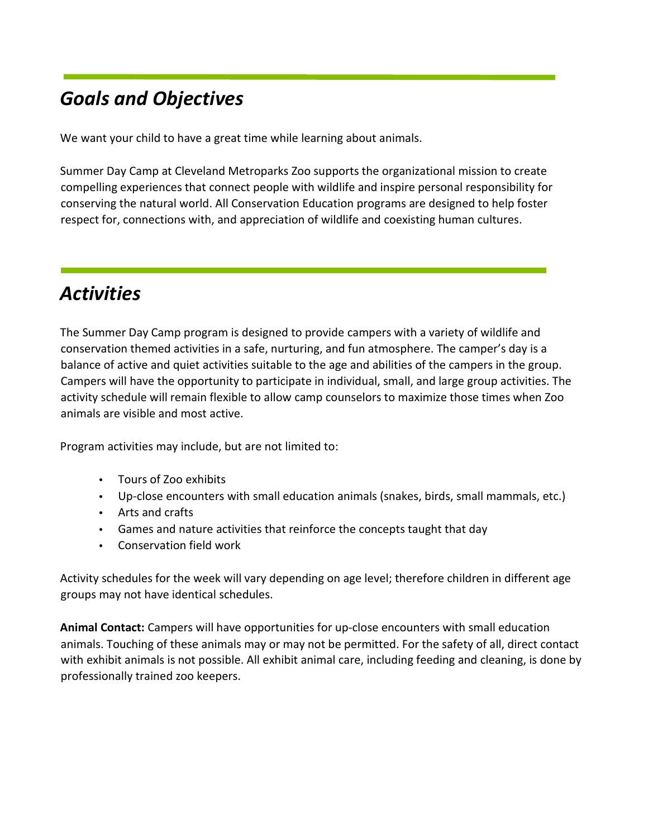# *Goals and Objectives*

We want your child to have a great time while learning about animals.

Summer Day Camp at Cleveland Metroparks Zoo supports the organizational mission to create compelling experiences that connect people with wildlife and inspire personal responsibility for conserving the natural world. All Conservation Education programs are designed to help foster respect for, connections with, and appreciation of wildlife and coexisting human cultures.

# *Activities*

The Summer Day Camp program is designed to provide campers with a variety of wildlife and conservation themed activities in a safe, nurturing, and fun atmosphere. The camper's day is a balance of active and quiet activities suitable to the age and abilities of the campers in the group. Campers will have the opportunity to participate in individual, small, and large group activities. The activity schedule will remain flexible to allow camp counselors to maximize those times when Zoo animals are visible and most active.

Program activities may include, but are not limited to:

- Tours of Zoo exhibits
- Up-close encounters with small education animals (snakes, birds, small mammals, etc.)
- Arts and crafts
- Games and nature activities that reinforce the concepts taught that day
- Conservation field work

Activity schedules for the week will vary depending on age level; therefore children in different age groups may not have identical schedules.

**Animal Contact:** Campers will have opportunities for up-close encounters with small education animals. Touching of these animals may or may not be permitted. For the safety of all, direct contact with exhibit animals is not possible. All exhibit animal care, including feeding and cleaning, is done by professionally trained zoo keepers.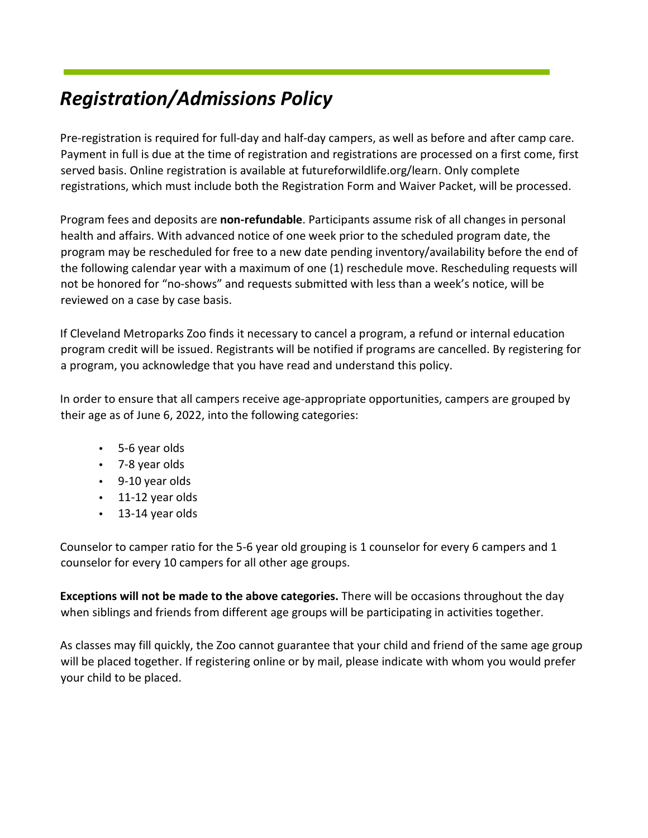# *Registration/Admissions Policy*

Pre-registration is required for full-day and half-day campers, as well as before and after camp care. Payment in full is due at the time of registration and registrations are processed on a first come, first served basis. Online registration is available at futureforwildlife.org/learn. Only complete registrations, which must include both the Registration Form and Waiver Packet, will be processed.

Program fees and deposits are **non-refundable**. Participants assume risk of all changes in personal health and affairs. With advanced notice of one week prior to the scheduled program date, the program may be rescheduled for free to a new date pending inventory/availability before the end of the following calendar year with a maximum of one (1) reschedule move. Rescheduling requests will not be honored for "no-shows" and requests submitted with less than a week's notice, will be reviewed on a case by case basis.

If Cleveland Metroparks Zoo finds it necessary to cancel a program, a refund or internal education program credit will be issued. Registrants will be notified if programs are cancelled. By registering for a program, you acknowledge that you have read and understand this policy.

In order to ensure that all campers receive age-appropriate opportunities, campers are grouped by their age as of June 6, 2022, into the following categories:

- 5-6 year olds
- 7-8 year olds
- 9-10 year olds
- 11-12 year olds
- 13-14 year olds

Counselor to camper ratio for the 5-6 year old grouping is 1 counselor for every 6 campers and 1 counselor for every 10 campers for all other age groups.

**Exceptions will not be made to the above categories.** There will be occasions throughout the day when siblings and friends from different age groups will be participating in activities together.

As classes may fill quickly, the Zoo cannot guarantee that your child and friend of the same age group will be placed together. If registering online or by mail, please indicate with whom you would prefer your child to be placed.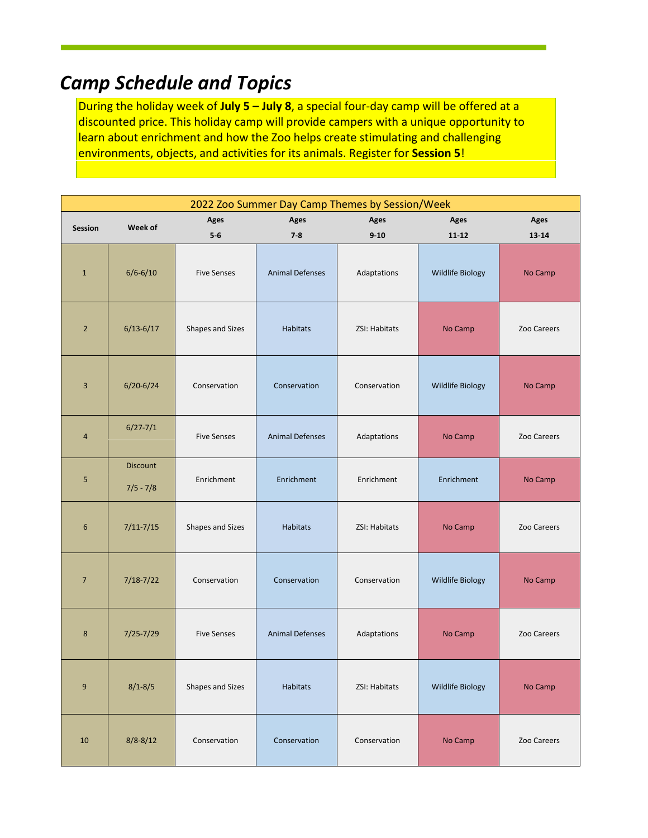# *Camp Schedule and Topics*

During the holiday week of **July 5 – July 8**, a special four-day camp will be offered at a discounted price. This holiday camp will provide campers with a unique opportunity to learn about enrichment and how the Zoo helps create stimulating and challenging environments, objects, and activities for its animals. Register for **Session 5**!

| 2022 Zoo Summer Day Camp Themes by Session/Week |                                |                    |                        |               |                         |             |  |  |
|-------------------------------------------------|--------------------------------|--------------------|------------------------|---------------|-------------------------|-------------|--|--|
| Session                                         | Week of                        | Ages               | Ages                   | Ages          | Ages                    | Ages        |  |  |
|                                                 |                                | $5-6$              | $7 - 8$                | $9 - 10$      | $11 - 12$               | 13-14       |  |  |
| $\mathbf 1$                                     | $6/6 - 6/10$                   | <b>Five Senses</b> | <b>Animal Defenses</b> | Adaptations   | Wildlife Biology        | No Camp     |  |  |
| $\sqrt{2}$                                      | $6/13 - 6/17$                  | Shapes and Sizes   | Habitats               | ZSI: Habitats | No Camp                 | Zoo Careers |  |  |
| 3                                               | $6/20 - 6/24$                  | Conservation       | Conservation           | Conservation  | Wildlife Biology        | No Camp     |  |  |
| $\overline{4}$                                  | $6/27 - 7/1$                   | <b>Five Senses</b> | <b>Animal Defenses</b> | Adaptations   | No Camp                 | Zoo Careers |  |  |
| 5                                               | <b>Discount</b><br>$7/5 - 7/8$ | Enrichment         | Enrichment             | Enrichment    | Enrichment              | No Camp     |  |  |
| $\boldsymbol{6}$                                | $7/11 - 7/15$                  | Shapes and Sizes   | Habitats               | ZSI: Habitats | No Camp                 | Zoo Careers |  |  |
| $\overline{7}$                                  | $7/18 - 7/22$                  | Conservation       | Conservation           | Conservation  | Wildlife Biology        | No Camp     |  |  |
| 8                                               | $7/25 - 7/29$                  | <b>Five Senses</b> | <b>Animal Defenses</b> | Adaptations   | No Camp                 | Zoo Careers |  |  |
| 9                                               | $8/1 - 8/5$                    | Shapes and Sizes   | Habitats               | ZSI: Habitats | <b>Wildlife Biology</b> | No Camp     |  |  |
| 10                                              | $8/8 - 8/12$                   | Conservation       | Conservation           | Conservation  | No Camp                 | Zoo Careers |  |  |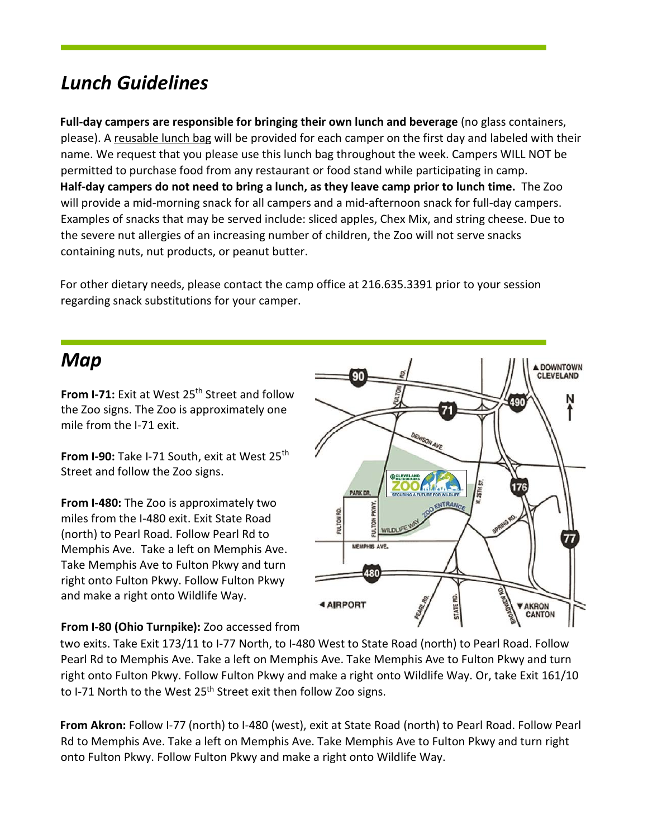# *Lunch Guidelines*

**Full-day campers are responsible for bringing their own lunch and beverage** (no glass containers, please). A reusable lunch bag will be provided for each camper on the first day and labeled with their name. We request that you please use this lunch bag throughout the week. Campers WILL NOT be permitted to purchase food from any restaurant or food stand while participating in camp. **Half-day campers do not need to bring a lunch, as they leave camp prior to lunch time.** The Zoo will provide a mid-morning snack for all campers and a mid-afternoon snack for full-day campers. Examples of snacks that may be served include: sliced apples, Chex Mix, and string cheese. Due to the severe nut allergies of an increasing number of children, the Zoo will not serve snacks containing nuts, nut products, or peanut butter.

For other dietary needs, please contact the camp office at 216.635.3391 prior to your session regarding snack substitutions for your camper.

## *Map*

**From I-71:** Exit at West 25<sup>th</sup> Street and follow the Zoo signs. The Zoo is approximately one mile from the I-71 exit.

**From I-90:** Take I-71 South, exit at West 25<sup>th</sup> Street and follow the Zoo signs.

**From I-480:** The Zoo is approximately two miles from the I-480 exit. Exit State Road (north) to Pearl Road. Follow Pearl Rd to Memphis Ave. Take a left on Memphis Ave. Take Memphis Ave to Fulton Pkwy and turn right onto Fulton Pkwy. Follow Fulton Pkwy and make a right onto Wildlife Way.



#### **From I-80 (Ohio Turnpike):** Zoo accessed from

two exits. Take Exit 173/11 to I-77 North, to I-480 West to State Road (north) to Pearl Road. Follow Pearl Rd to Memphis Ave. Take a left on Memphis Ave. Take Memphis Ave to Fulton Pkwy and turn right onto Fulton Pkwy. Follow Fulton Pkwy and make a right onto Wildlife Way. Or, take Exit 161/10 to I-71 North to the West  $25<sup>th</sup>$  Street exit then follow Zoo signs.

**From Akron:** Follow I-77 (north) to I-480 (west), exit at State Road (north) to Pearl Road. Follow Pearl Rd to Memphis Ave. Take a left on Memphis Ave. Take Memphis Ave to Fulton Pkwy and turn right onto Fulton Pkwy. Follow Fulton Pkwy and make a right onto Wildlife Way.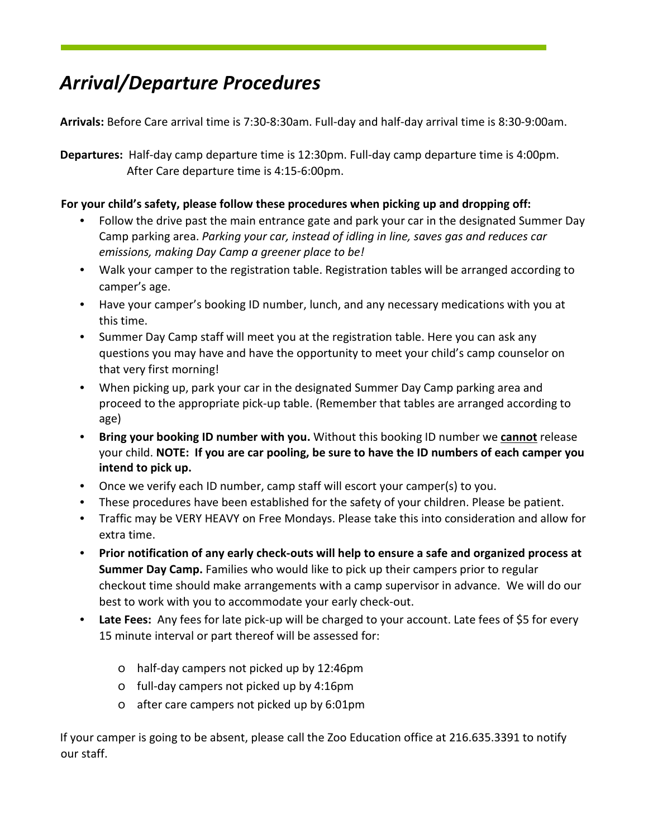# *Arrival/Departure Procedures*

**Arrivals:** Before Care arrival time is 7:30-8:30am. Full-day and half-day arrival time is 8:30-9:00am.

**Departures:** Half-day camp departure time is 12:30pm. Full-day camp departure time is 4:00pm. After Care departure time is 4:15-6:00pm.

#### **For your child's safety, please follow these procedures when picking up and dropping off:**

- Follow the drive past the main entrance gate and park your car in the designated Summer Day Camp parking area. *Parking your car, instead of idling in line, saves gas and reduces car emissions, making Day Camp a greener place to be!*
- Walk your camper to the registration table. Registration tables will be arranged according to camper's age.
- Have your camper's booking ID number, lunch, and any necessary medications with you at this time.
- Summer Day Camp staff will meet you at the registration table. Here you can ask any questions you may have and have the opportunity to meet your child's camp counselor on that very first morning!
- When picking up, park your car in the designated Summer Day Camp parking area and proceed to the appropriate pick-up table. (Remember that tables are arranged according to age)
- **Bring your booking ID number with you.** Without this booking ID number we **cannot** release your child. **NOTE: If you are car pooling, be sure to have the ID numbers of each camper you intend to pick up.**
- Once we verify each ID number, camp staff will escort your camper(s) to you.
- These procedures have been established for the safety of your children. Please be patient.
- Traffic may be VERY HEAVY on Free Mondays. Please take this into consideration and allow for extra time.
- **Prior notification of any early check-outs will help to ensure a safe and organized process at Summer Day Camp.** Families who would like to pick up their campers prior to regular checkout time should make arrangements with a camp supervisor in advance. We will do our best to work with you to accommodate your early check-out.
- **Late Fees:** Any fees for late pick-up will be charged to your account. Late fees of \$5 for every 15 minute interval or part thereof will be assessed for:
	- o half-day campers not picked up by 12:46pm
	- o full-day campers not picked up by 4:16pm
	- o after care campers not picked up by 6:01pm

If your camper is going to be absent, please call the Zoo Education office at 216.635.3391 to notify our staff.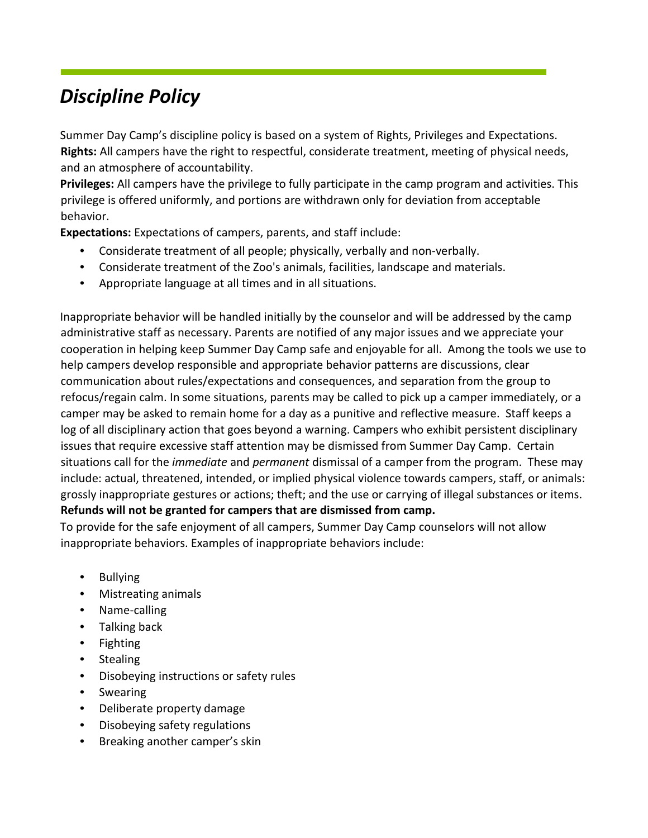# *Discipline Policy*

Summer Day Camp's discipline policy is based on a system of Rights, Privileges and Expectations. **Rights:** All campers have the right to respectful, considerate treatment, meeting of physical needs, and an atmosphere of accountability.

**Privileges:** All campers have the privilege to fully participate in the camp program and activities. This privilege is offered uniformly, and portions are withdrawn only for deviation from acceptable behavior.

**Expectations:** Expectations of campers, parents, and staff include:

- Considerate treatment of all people; physically, verbally and non-verbally.
- Considerate treatment of the Zoo's animals, facilities, landscape and materials.
- Appropriate language at all times and in all situations.

Inappropriate behavior will be handled initially by the counselor and will be addressed by the camp administrative staff as necessary. Parents are notified of any major issues and we appreciate your cooperation in helping keep Summer Day Camp safe and enjoyable for all. Among the tools we use to help campers develop responsible and appropriate behavior patterns are discussions, clear communication about rules/expectations and consequences, and separation from the group to refocus/regain calm. In some situations, parents may be called to pick up a camper immediately, or a camper may be asked to remain home for a day as a punitive and reflective measure. Staff keeps a log of all disciplinary action that goes beyond a warning. Campers who exhibit persistent disciplinary issues that require excessive staff attention may be dismissed from Summer Day Camp. Certain situations call for the *immediate* and *permanent* dismissal of a camper from the program. These may include: actual, threatened, intended, or implied physical violence towards campers, staff, or animals: grossly inappropriate gestures or actions; theft; and the use or carrying of illegal substances or items. **Refunds will not be granted for campers that are dismissed from camp.** 

To provide for the safe enjoyment of all campers, Summer Day Camp counselors will not allow inappropriate behaviors. Examples of inappropriate behaviors include:

- Bullying
- Mistreating animals
- Name-calling
- Talking back
- Fighting
- Stealing
- Disobeying instructions or safety rules
- **Swearing**
- Deliberate property damage
- Disobeying safety regulations
- Breaking another camper's skin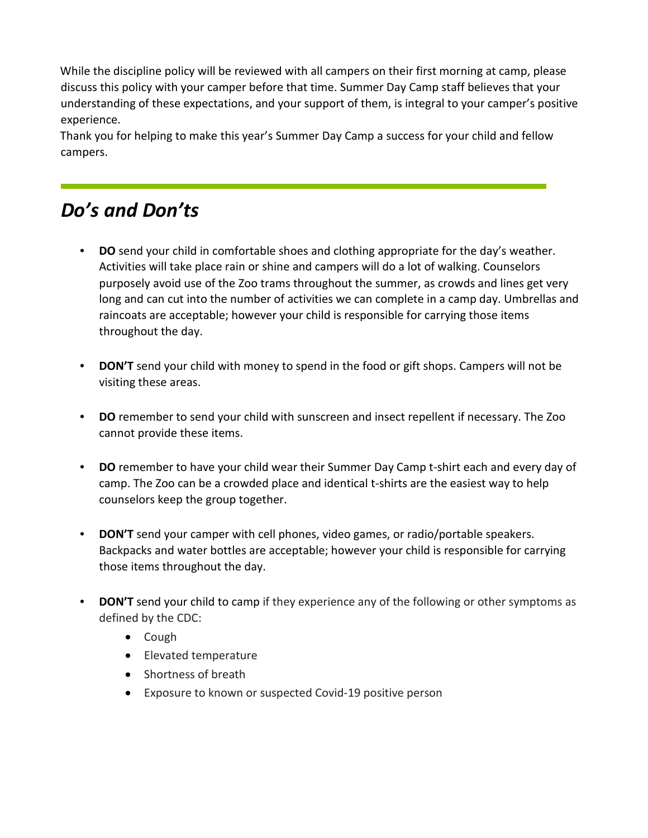While the discipline policy will be reviewed with all campers on their first morning at camp, please discuss this policy with your camper before that time. Summer Day Camp staff believes that your understanding of these expectations, and your support of them, is integral to your camper's positive experience.

Thank you for helping to make this year's Summer Day Camp a success for your child and fellow campers.

# *Do's and Don'ts*

- **DO** send your child in comfortable shoes and clothing appropriate for the day's weather. Activities will take place rain or shine and campers will do a lot of walking. Counselors purposely avoid use of the Zoo trams throughout the summer, as crowds and lines get very long and can cut into the number of activities we can complete in a camp day. Umbrellas and raincoats are acceptable; however your child is responsible for carrying those items throughout the day.
- **DON'T** send your child with money to spend in the food or gift shops. Campers will not be visiting these areas.
- **DO** remember to send your child with sunscreen and insect repellent if necessary. The Zoo cannot provide these items.
- **DO** remember to have your child wear their Summer Day Camp t-shirt each and every day of camp. The Zoo can be a crowded place and identical t-shirts are the easiest way to help counselors keep the group together.
- **DON'T** send your camper with cell phones, video games, or radio/portable speakers. Backpacks and water bottles are acceptable; however your child is responsible for carrying those items throughout the day.
- **DON'T** send your child to camp if they experience any of the following or other symptoms as defined by the CDC:
	- Cough
	- Elevated temperature
	- Shortness of breath
	- Exposure to known or suspected Covid-19 positive person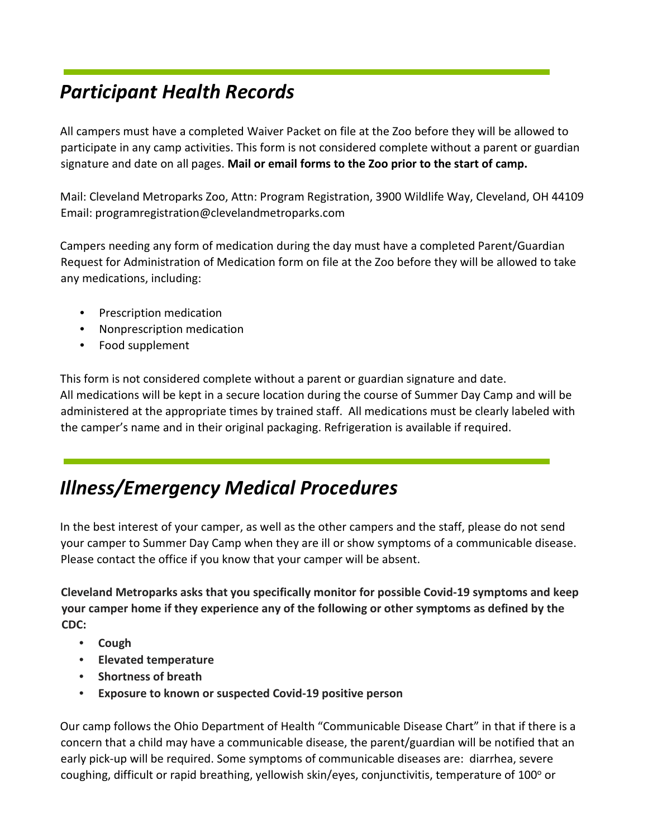# *Participant Health Records*

All campers must have a completed Waiver Packet on file at the Zoo before they will be allowed to participate in any camp activities. This form is not considered complete without a parent or guardian signature and date on all pages. **Mail or email forms to the Zoo prior to the start of camp.**

Mail: Cleveland Metroparks Zoo, Attn: Program Registration, 3900 Wildlife Way, Cleveland, OH 44109 Email: programregistration@clevelandmetroparks.com

Campers needing any form of medication during the day must have a completed Parent/Guardian Request for Administration of Medication form on file at the Zoo before they will be allowed to take any medications, including:

- Prescription medication
- Nonprescription medication
- Food supplement

This form is not considered complete without a parent or guardian signature and date. All medications will be kept in a secure location during the course of Summer Day Camp and will be administered at the appropriate times by trained staff. All medications must be clearly labeled with the camper's name and in their original packaging. Refrigeration is available if required.

# *Illness/Emergency Medical Procedures*

In the best interest of your camper, as well as the other campers and the staff, please do not send your camper to Summer Day Camp when they are ill or show symptoms of a communicable disease. Please contact the office if you know that your camper will be absent.

**Cleveland Metroparks asks that you specifically monitor for possible Covid-19 symptoms and keep your camper home if they experience any of the following or other symptoms as defined by the CDC:** 

- **Cough**
- **Elevated temperature**
- **Shortness of breath**
- **Exposure to known or suspected Covid-19 positive person**

Our camp follows the Ohio Department of Health "Communicable Disease Chart" in that if there is a concern that a child may have a communicable disease, the parent/guardian will be notified that an early pick-up will be required. Some symptoms of communicable diseases are: diarrhea, severe coughing, difficult or rapid breathing, yellowish skin/eyes, conjunctivitis, temperature of  $100^{\circ}$  or